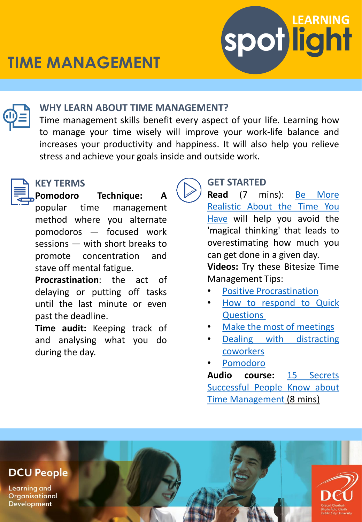

## **WHY LEARN ABOUT TIME MANAGEMENT?**

Time management skills benefit every aspect of your life. Learning how to manage your time wisely will improve your work-life balance and increases your productivity and happiness. It will also help you relieve stress and achieve your goals inside and outside work.



### **KEY TERMS**

**Pomodoro Technique: A** popular time management method where you alternate pomodoros — focused work sessions — with short breaks to promote concentration and stave off mental fatigue.

**Procrastination**: the act of delaying or putting off tasks until the last minute or even past the deadline.

**Time audit:** Keeping track of and analysing what you do during the day.



# **GET STARTED**

**Read** (7 mins): Be More [Realistic](https://hbr.org/2021/03/be-more-realistic-about-the-time-you-have) About the Time You Have will help you avoid the 'magical thinking' that leads to overestimating how much you can get done in a given day.

**spot light** 

**LEARNING**

**Videos:** Try these Bitesize Time Management Tips:

- Positive [Procrastination](https://www.linkedin.com/learning-login/share?account=2372722&forceAccount=false&redirect=https://www.linkedin.com/learning/time-management-tips/positive-procrastination?trk%3Dshare_video_url%26shareId%3DLLtKMTwNRte3LsCnbFqe5w%3D%3D)
- How to respond to Quick **[Questions](https://www.linkedin.com/learning-login/share?account=2372722&forceAccount=false&redirect=https://www.linkedin.com/learning/time-management-tips/how-to-respond-to-quick-questions?trk%3Dshare_video_url%26shareId%3Dt4p7mbHAS9yU3jzyL7xQ7g%3D%3D)**
- Make the most of [meetings](https://www.linkedin.com/learning-login/share?account=2372722&forceAccount=false&redirect=https://www.linkedin.com/learning/time-management-tips/make-the-most-of-meetings?trk%3Dshare_video_url%26shareId%3Dt4p7mbHAS9yU3jzyL7xQ7g%3D%3D)
- Dealing with [distracting](https://www.linkedin.com/learning-login/share?account=2372722&forceAccount=false&redirect=https://www.linkedin.com/learning/time-management-tips/dealing-with-distracting-coworkers?trk%3Dshare_video_url%26shareId%3DqXw6BhCMReC3O9H0GNmqQQ%3D%3D) coworkers
- [Pomodoro](https://www.linkedin.com/learning/time-management-for-marketers/pomodoro?autoplay=true&resume=false&u=2372722)

**Audio course:** 15 Secrets Successful People Know about Time [Management](https://www.linkedin.com/learning-login/share?account=2372722&forceAccount=false&redirect=https://www.linkedin.com/learning/15-secrets-successful-people-know-about-time-management-getabstract-summary?trk%3Dshare_ent_url%26shareId%3DNB%2Fbr0AsR8SGZVBwlRgTUA%3D%3D) (8 mins)